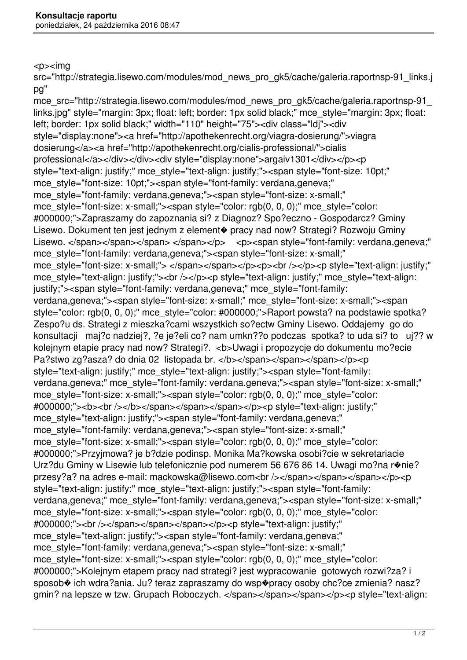<p><img

src="http://strategia.lisewo.com/modules/mod\_news\_pro\_gk5/cache/galeria.raportnsp-91\_links.j pg"

mce src="http://strategia.lisewo.com/modules/mod news pro gk5/cache/galeria.raportnsp-91 links.jpg" style="margin: 3px; float: left; border: 1px solid black;" mce\_style="margin: 3px; float: left; border: 1px solid black;" width="110" height="75"><div class="ldj"><div style="display:none"><a href="http://apothekenrecht.org/viagra-dosierung/">viagra dosierung</a><a href="http://apothekenrecht.org/cialis-professional/">cialis professional</a>></div></div><div><div style="display:none">argaiv1301</div></p>></p> style="text-align: justify;" mce\_style="text-align: justify;"><span style="font-size: 10pt;" mce style="font-size: 10pt;"><span style="font-family: verdana,geneva;" mce\_style="font-family: verdana,geneva;"><span style="font-size: x-small;" mce style="font-size: x-small;"><span style="color: rgb(0, 0, 0);" mce style="color: #000000;">Zapraszamy do zapoznania si? z Diagnoz? Spo?eczno - Gospodarcz? Gminy Lisewo. Dokument ten jest jednym z element� pracy nad now? Strategi? Rozwoju Gminy Lisewo. </span></span></span> </span></p><>>>> <p><span style="font-family: verdana,geneva;" mce\_style="font-family: verdana,geneva;"><span style="font-size: x-small;" mce\_style="font-size: x-small;"> </span></span></p>><p><br />>/>></p><p style="text-align: justify;" mce style="text-align: justify;"><br />>>/p><p style="text-align: justify;" mce style="text-align: justify;"><span style="font-family: verdana,geneva;" mce\_style="font-family: verdana,geneva;"><span style="font-size: x-small;" mce\_style="font-size: x-small;"><span style="color: rgb(0, 0, 0);" mce\_style="color: #000000;">Raport powsta? na podstawie spotka? Zespo?u ds. Strategi z mieszka?cami wszystkich so?ectw Gminy Lisewo. Oddajemy go do konsultacji maj?c nadziej?, ?e je?eli co? nam umkn??o podczas spotka? to uda si? to uj?? w kolejnym etapie pracy nad now? Strategi?. <b>Uwagi i propozycje do dokumentu mo?ecie Pa?stwo zg?asza? do dnia 02 listopada br. </b>>>>>></span></span></p>></p>></p> style="text-align: justify;" mce\_style="text-align: justify;"><span style="font-family: verdana,geneva;" mce style="font-family: verdana,geneva;"><span style="font-size: x-small;" mce style="font-size: x-small;"><span style="color: rgb(0, 0, 0);" mce style="color: #000000;"><b><br />>/>></span></span></span></p>><p style="text-align: justify;" mce\_style="text-align: justify;"><span style="font-family: verdana,geneva;" mce\_style="font-family: verdana,geneva;"><span style="font-size: x-small;" mce style="font-size: x-small;"><span style="color: rgb(0, 0, 0);" mce style="color: #000000;">Przyjmowa? je b?dzie podinsp. Monika Ma?kowska osobi?cie w sekretariacie Urz?du Gminy w Lisewie lub telefonicznie pod numerem 56 676 86 14. Uwagi mo?na r $\cdot$ nie? przesy?a? na adres e-mail: mackowska@lisewo.com<br/>>ht />>/span></span></span></p>></p>>>>> style="text-align: justify;" mce\_style="text-align: justify;"><span style="font-family: verdana,geneva;" mce style="font-family: verdana,geneva;"><span style="font-size: x-small;" mce style="font-size: x-small;"><span style="color: rgb(0, 0, 0);" mce style="color: #000000;"><br />></span></span></span></p>>>>>>>p style="text-align: justify;" mce\_style="text-align: justify;"><span style="font-family: verdana,geneva;" mce\_style="font-family: verdana.geneva;"><span style="font-size: x-small;" mce style="font-size: x-small;"><span style="color: rgb(0, 0, 0);" mce style="color: #000000;">Kolejnym etapem pracy nad strategi? jest wypracowanie gotowych rozwi?za? i sposob $\diamond$  ich wdra?ania. Ju? teraz zapraszamy do wsp $\diamond$ pracy osoby chc?ce zmienia? nasz? gmin? na lepsze w tzw. Grupach Roboczych. </span></span></span></p>><p style="text-align: